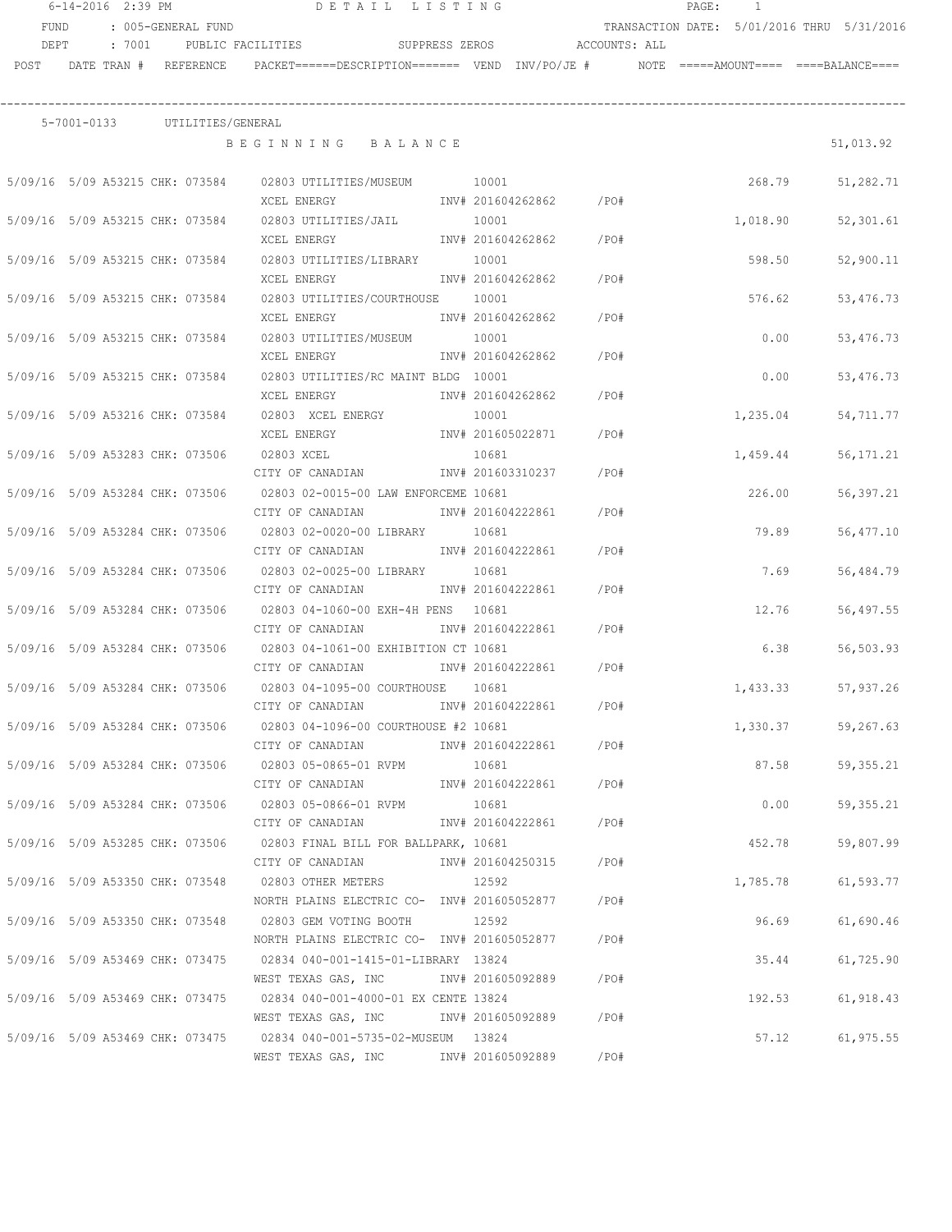| 6-14-2016 2:39 PM |                                 |  |                    | DETAIL LISTING                                                                                   |                   | PAGE:                   | -1   |  |          |                                            |
|-------------------|---------------------------------|--|--------------------|--------------------------------------------------------------------------------------------------|-------------------|-------------------------|------|--|----------|--------------------------------------------|
| <b>FUND</b>       |                                 |  | : 005-GENERAL FUND |                                                                                                  |                   |                         |      |  |          | TRANSACTION DATE: 5/01/2016 THRU 5/31/2016 |
| DEPT              | : 7001                          |  |                    | SUPPRESS ZEROS ACCOUNTS: ALL<br>PUBLIC FACILITIES                                                |                   |                         |      |  |          |                                            |
| POST              | DATE TRAN # REFERENCE           |  |                    | $PACKET == == = DESCRIPTION == == == $ VEND $INV/PO/JE$ # $NOTE$ =====AMOUNT==== ====BALANCE==== |                   |                         |      |  |          |                                            |
|                   |                                 |  |                    |                                                                                                  |                   |                         |      |  |          |                                            |
|                   | 5-7001-0133 UTILITIES/GENERAL   |  |                    |                                                                                                  |                   |                         |      |  |          |                                            |
|                   |                                 |  |                    | BEGINNING BALANCE                                                                                |                   |                         |      |  |          | 51,013.92                                  |
|                   | 5/09/16 5/09 A53215 CHK: 073584 |  |                    | 02803 UTILITIES/MUSEUM 10001                                                                     |                   |                         |      |  | 268.79   | 51,282.71                                  |
|                   |                                 |  |                    | XCEL ENERGY                                                                                      |                   | INV# 201604262862 / PO# |      |  |          |                                            |
|                   | 5/09/16 5/09 A53215 CHK: 073584 |  |                    | 02803 UTILITIES/JAIL                                                                             | 10001             |                         |      |  | 1,018.90 | 52,301.61                                  |
|                   |                                 |  |                    | XCEL ENERGY                                                                                      |                   | INV# 201604262862       | /PO# |  |          |                                            |
|                   | 5/09/16 5/09 A53215 CHK: 073584 |  |                    | 02803 UTILITIES/LIBRARY 10001                                                                    |                   |                         |      |  | 598.50   | 52,900.11                                  |
|                   |                                 |  |                    | XCEL ENERGY                                                                                      |                   | INV# 201604262862 /PO#  |      |  |          |                                            |
|                   | 5/09/16 5/09 A53215 CHK: 073584 |  |                    | 02803 UTILITIES/COURTHOUSE 10001                                                                 |                   |                         |      |  | 576.62   | 53,476.73                                  |
|                   |                                 |  |                    | XCEL ENERGY                                                                                      |                   | INV# 201604262862       | /PO# |  |          |                                            |
|                   | 5/09/16 5/09 A53215 CHK: 073584 |  |                    | 02803 UTILITIES/MUSEUM                                                                           | 10001             |                         |      |  | 0.00     | 53, 476. 73                                |
|                   |                                 |  |                    | XCEL ENERGY                                                                                      |                   | INV# 201604262862       | /PO# |  |          |                                            |
|                   | 5/09/16 5/09 A53215 CHK: 073584 |  |                    | 02803 UTILITIES/RC MAINT BLDG 10001                                                              |                   |                         |      |  | 0.00     | 53,476.73                                  |
|                   |                                 |  |                    | XCEL ENERGY                                                                                      |                   | INV# 201604262862       | /PO# |  |          |                                            |
|                   | 5/09/16 5/09 A53216 CHK: 073584 |  |                    | 02803 XCEL ENERGY                                                                                | 10001             |                         |      |  | 1,235.04 | 54,711.77                                  |
|                   |                                 |  |                    | XCEL ENERGY                                                                                      |                   | INV# 201605022871       | /PO# |  |          |                                            |
|                   | 5/09/16 5/09 A53283 CHK: 073506 |  |                    | 02803 XCEL                                                                                       | 10681             |                         |      |  | 1,459.44 | 56, 171.21                                 |
|                   |                                 |  |                    | CITY OF CANADIAN                                                                                 | INV# 201603310237 |                         | /PO# |  |          |                                            |
|                   | 5/09/16 5/09 A53284 CHK: 073506 |  |                    | 02803 02-0015-00 LAW ENFORCEME 10681                                                             |                   |                         |      |  | 226.00   | 56,397.21                                  |
|                   |                                 |  |                    | CITY OF CANADIAN                                                                                 | INV# 201604222861 |                         | /PO# |  |          |                                            |
|                   | 5/09/16 5/09 A53284 CHK: 073506 |  |                    | 02803 02-0020-00 LIBRARY                                                                         | 10681             |                         |      |  | 79.89    | 56,477.10                                  |
|                   |                                 |  |                    | CITY OF CANADIAN                                                                                 | INV# 201604222861 |                         | /PO# |  |          |                                            |
|                   | 5/09/16 5/09 A53284 CHK: 073506 |  |                    | 02803 02-0025-00 LIBRARY                                                                         | 10681             |                         |      |  | 7.69     | 56,484.79                                  |
|                   |                                 |  |                    | CITY OF CANADIAN                                                                                 | INV# 201604222861 |                         | /PO# |  |          |                                            |
|                   | 5/09/16 5/09 A53284 CHK: 073506 |  |                    | 02803 04-1060-00 EXH-4H PENS 10681                                                               |                   |                         |      |  | 12.76    | 56,497.55                                  |
|                   |                                 |  |                    | CITY OF CANADIAN                                                                                 | INV# 201604222861 |                         | /PO# |  |          |                                            |
|                   | 5/09/16 5/09 A53284 CHK: 073506 |  |                    | 02803 04-1061-00 EXHIBITION CT 10681                                                             |                   |                         |      |  | 6.38     | 56,503.93                                  |
|                   |                                 |  |                    | CITY OF CANADIAN 1NV# 201604222861                                                               |                   |                         | /PO# |  |          |                                            |
|                   | 5/09/16 5/09 A53284 CHK: 073506 |  |                    | 02803 04-1095-00 COURTHOUSE 10681                                                                |                   |                         |      |  | 1,433.33 | 57,937.26                                  |
|                   |                                 |  |                    | CITY OF CANADIAN                                                                                 |                   | INV# 201604222861       | /PO# |  |          |                                            |
|                   |                                 |  |                    | 5/09/16 5/09 A53284 CHK: 073506 02803 04-1096-00 COURTHOUSE #2 10681                             |                   |                         |      |  | 1,330.37 | 59,267.63                                  |
|                   |                                 |  |                    | CITY OF CANADIAN                                                                                 |                   | INV# 201604222861 /PO#  |      |  |          |                                            |
|                   |                                 |  |                    | 5/09/16 5/09 A53284 CHK: 073506 02803 05-0865-01 RVPM 10681                                      |                   |                         |      |  | 87.58    | 59,355.21                                  |
|                   |                                 |  |                    | CITY OF CANADIAN                                                                                 |                   | INV# 201604222861 /PO#  |      |  |          |                                            |
|                   |                                 |  |                    | 5/09/16 5/09 A53284 CHK: 073506 02803 05-0866-01 RVPM                                            | 10681             |                         |      |  | 0.00     | 59,355.21                                  |
|                   |                                 |  |                    | CITY OF CANADIAN                                                                                 |                   | INV# 201604222861 /PO#  |      |  |          |                                            |
|                   |                                 |  |                    | 5/09/16 5/09 A53285 CHK: 073506 02803 FINAL BILL FOR BALLPARK, 10681                             |                   |                         |      |  | 452.78   | 59,807.99                                  |
|                   |                                 |  |                    | CITY OF CANADIAN                                                                                 |                   | INV# 201604250315 /PO#  |      |  |          |                                            |
|                   |                                 |  |                    | 5/09/16 5/09 A53350 CHK: 073548 02803 OTHER METERS                                               | 12592             |                         |      |  | 1,785.78 | 61,593.77                                  |
|                   |                                 |  |                    | NORTH PLAINS ELECTRIC CO- INV# 201605052877 / PO#                                                |                   |                         |      |  |          |                                            |
|                   |                                 |  |                    | 5/09/16 5/09 A53350 CHK: 073548 02803 GEM VOTING BOOTH 12592                                     |                   |                         |      |  | 96.69    | 61,690.46                                  |
|                   |                                 |  |                    | NORTH PLAINS ELECTRIC CO- INV# 201605052877 / PO#                                                |                   |                         |      |  |          |                                            |
|                   |                                 |  |                    | 5/09/16 5/09 A53469 CHK: 073475 02834 040-001-1415-01-LIBRARY 13824                              |                   |                         |      |  | 35.44    | 61,725.90                                  |
|                   |                                 |  |                    | WEST TEXAS GAS, INC      INV# 201605092889     /PO#                                              |                   |                         |      |  |          |                                            |
|                   |                                 |  |                    | 5/09/16 5/09 A53469 CHK: 073475 02834 040-001-4000-01 EX CENTE 13824                             |                   |                         |      |  | 192.53   | 61,918.43                                  |
|                   |                                 |  |                    | WEST TEXAS GAS, INC MONTH 201605092889 / PO#                                                     |                   |                         |      |  |          |                                            |
|                   |                                 |  |                    | 5/09/16 5/09 A53469 CHK: 073475 02834 040-001-5735-02-MUSEUM 13824                               |                   |                         |      |  | 57.12    | 61, 975.55                                 |
|                   |                                 |  |                    | WEST TEXAS GAS, INC METH 201605092889 / PO#                                                      |                   |                         |      |  |          |                                            |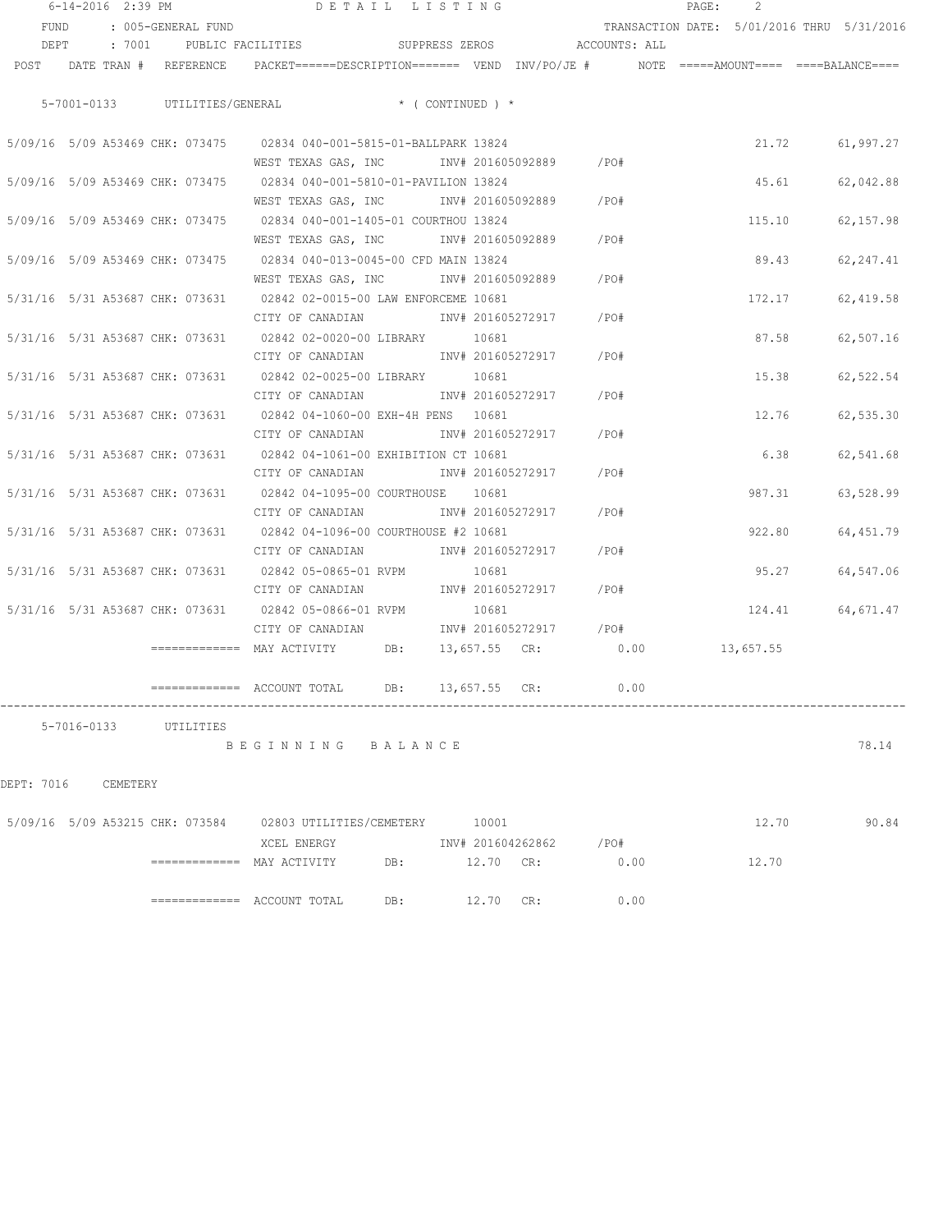| 6-14-2016 2:39 PM |             |                                 | DETAIL LISTING                                                                                                  |     |                        |         | PAGE:<br>2                                 |                 |
|-------------------|-------------|---------------------------------|-----------------------------------------------------------------------------------------------------------------|-----|------------------------|---------|--------------------------------------------|-----------------|
| FUND              |             | : 005-GENERAL FUND              |                                                                                                                 |     |                        |         | TRANSACTION DATE: 5/01/2016 THRU 5/31/2016 |                 |
|                   |             |                                 | DEPT : 7001 PUBLIC FACILITIES SUPPRESS ZEROS ACCOUNTS: ALL                                                      |     |                        |         |                                            |                 |
|                   |             |                                 | POST DATE TRAN # REFERENCE PACKET======DESCRIPTION======= VEND INV/PO/JE # NOTE =====AMOUNT==== ====BALANCE==== |     |                        |         |                                            |                 |
|                   |             |                                 |                                                                                                                 |     |                        |         |                                            |                 |
|                   |             |                                 | 5-7001-0133 UTILITIES/GENERAL * (CONTINUED) *                                                                   |     |                        |         |                                            |                 |
|                   |             |                                 | 5/09/16 5/09 A53469 CHK: 073475 02834 040-001-5815-01-BALLPARK 13824                                            |     |                        |         | 21.72                                      | 61,997.27       |
|                   |             |                                 | WEST TEXAS GAS, INC     INV# 201605092889   /PO#                                                                |     |                        |         |                                            |                 |
|                   |             | 5/09/16 5/09 A53469 CHK: 073475 | 02834 040-001-5810-01-PAVILION 13824                                                                            |     |                        |         | 45.61                                      | 62,042.88       |
|                   |             |                                 | WEST TEXAS GAS, INC MONTH 201605092889 / PO#                                                                    |     |                        |         |                                            |                 |
|                   |             | 5/09/16 5/09 A53469 CHK: 073475 | 02834 040-001-1405-01 COURTHOU 13824                                                                            |     |                        |         | 115.10                                     | 62,157.98       |
|                   |             |                                 | WEST TEXAS GAS, INC MONTH 201605092889 / PO#                                                                    |     |                        |         |                                            |                 |
|                   |             | 5/09/16 5/09 A53469 CHK: 073475 | 02834 040-013-0045-00 CFD MAIN 13824                                                                            |     |                        |         | 89.43                                      | 62, 247.41      |
|                   |             |                                 | WEST TEXAS GAS, INC MONTH 201605092889 / PO#                                                                    |     |                        |         |                                            |                 |
|                   |             |                                 | 5/31/16 5/31 A53687 CHK: 073631 02842 02-0015-00 LAW ENFORCEME 10681                                            |     |                        |         | 172.17                                     | 62,419.58       |
|                   |             |                                 | CITY OF CANADIAN 5 1NV# 201605272917 7PO#                                                                       |     |                        |         |                                            |                 |
|                   |             |                                 | 5/31/16 5/31 A53687 CHK: 073631 02842 02-0020-00 LIBRARY 10681                                                  |     |                        |         | 87.58                                      | 62,507.16       |
|                   |             |                                 | CITY OF CANADIAN 1NV# 201605272917 / PO#                                                                        |     |                        |         |                                            |                 |
|                   |             | 5/31/16 5/31 A53687 CHK: 073631 | 02842 02-0025-00 LIBRARY 10681                                                                                  |     |                        |         | 15.38                                      | 62,522.54       |
|                   |             |                                 | CITY OF CANADIAN                                                                                                |     | INV# 201605272917 /PO# |         |                                            |                 |
|                   |             | 5/31/16 5/31 A53687 CHK: 073631 | 02842 04-1060-00 EXH-4H PENS 10681                                                                              |     |                        |         |                                            | 12.76 62,535.30 |
|                   |             |                                 | CITY OF CANADIAN                                                                                                |     | INV# 201605272917      | /PO#    |                                            |                 |
|                   |             |                                 | 5/31/16 5/31 A53687 CHK: 073631 02842 04-1061-00 EXHIBITION CT 10681                                            |     |                        |         | 6.38                                       | 62,541.68       |
|                   |             |                                 | CITY OF CANADIAN                                                                                                |     | INV# 201605272917      | /PO#    |                                            |                 |
|                   |             |                                 | 5/31/16 5/31 A53687 CHK: 073631 02842 04-1095-00 COURTHOUSE 10681                                               |     |                        |         | 987.31                                     | 63,528.99       |
|                   |             |                                 | CITY OF CANADIAN                                                                                                |     | INV# 201605272917      | /PO#    |                                            |                 |
|                   |             |                                 | 5/31/16 5/31 A53687 CHK: 073631 02842 04-1096-00 COURTHOUSE #2 10681                                            |     |                        |         | 922.80                                     | 64, 451.79      |
|                   |             |                                 | CITY OF CANADIAN                                                                                                |     | INV# 201605272917      | $/$ PO# |                                            |                 |
|                   |             |                                 | 5/31/16 5/31 A53687 CHK: 073631 02842 05-0865-01 RVPM                                                           |     | 10681                  |         | 95.27                                      | 64,547.06       |
|                   |             |                                 | CITY OF CANADIAN                                                                                                |     | INV# 201605272917      | /PO#    |                                            |                 |
|                   |             |                                 | 5/31/16 5/31 A53687 CHK: 073631 02842 05-0866-01 RVPM                                                           |     | 10681                  |         | 124.41                                     | 64,671.47       |
|                   |             |                                 | CITY OF CANADIAN                                                                                                |     | INV# 201605272917 /PO# |         |                                            |                 |
|                   |             |                                 | $\equiv$ ============ MAY ACTIVITY DB:                                                                          |     | 13,657.55 CR: 0.00     |         | 13,657.55                                  |                 |
|                   |             |                                 | ============= ACCOUNT TOTAL                                                                                     | DB: | $13,657.55$ CR:        | 0.00    |                                            |                 |
|                   |             |                                 |                                                                                                                 |     |                        |         |                                            |                 |
|                   | 5-7016-0133 | UTILITIES                       |                                                                                                                 |     |                        |         |                                            |                 |
|                   |             |                                 | BEGINNING BALANCE                                                                                               |     |                        |         |                                            | 78.14           |
|                   |             |                                 |                                                                                                                 |     |                        |         |                                            |                 |
| DEPT: 7016        | CEMETERY    |                                 |                                                                                                                 |     |                        |         |                                            |                 |
|                   |             |                                 | 5/09/16 5/09 A53215 CHK: 073584 02803 UTILITIES/CEMETERY 10001                                                  |     |                        |         | 12.70                                      | 90.84           |
|                   |             |                                 | XCEL ENERGY                                                                                                     |     | INV# 201604262862      | /PO#    |                                            |                 |
|                   |             |                                 |                                                                                                                 | DB: | 12.70 CR:              | 0.00    | 12.70                                      |                 |
|                   |             |                                 |                                                                                                                 |     |                        |         |                                            |                 |

============= ACCOUNT TOTAL DB: 12.70 CR: 0.00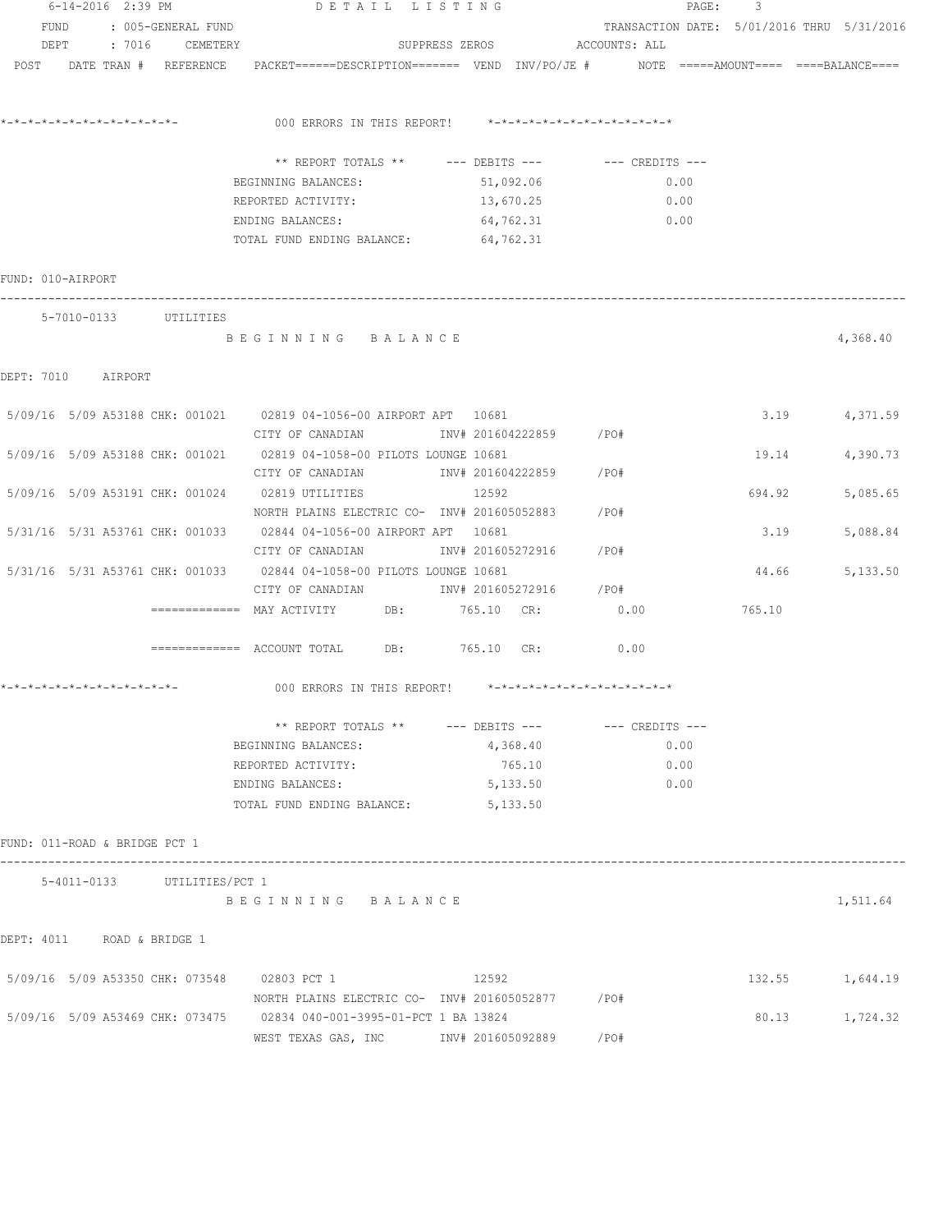|                                 | 6-14-2016 2:39 PM |                             | DETAIL LISTING                                                                                                 |                              | $\texttt{PAGE}$ :                          | 3      |                 |
|---------------------------------|-------------------|-----------------------------|----------------------------------------------------------------------------------------------------------------|------------------------------|--------------------------------------------|--------|-----------------|
| FUND                            |                   | : 005-GENERAL FUND          |                                                                                                                |                              | TRANSACTION DATE: 5/01/2016 THRU 5/31/2016 |        |                 |
| DEPT                            |                   | : 7016 CEMETERY             |                                                                                                                | SUPPRESS ZEROS ACCOUNTS: ALL |                                            |        |                 |
|                                 |                   |                             | POST DATE TRAN # REFERENCE PACKET======DESCRIPTION======= VEND INV/PO/JE # NOTE =====AMOUNT==== ===BALANCE==== |                              |                                            |        |                 |
|                                 |                   |                             |                                                                                                                |                              |                                            |        |                 |
|                                 |                   |                             | 000 ERRORS IN THIS REPORT! *-*-*-*-*-*-*-*-*-*-*-*-*-*-                                                        |                              |                                            |        |                 |
|                                 |                   |                             | ** REPORT TOTALS ** --- DEBITS --- -- CREDITS ---                                                              |                              |                                            |        |                 |
|                                 |                   |                             | BEGINNING BALANCES:                                                                                            | 51,092.06                    | 0.00                                       |        |                 |
|                                 |                   |                             | REPORTED ACTIVITY:                                                                                             | 13,670.25                    | 0.00                                       |        |                 |
|                                 |                   |                             | ENDING BALANCES:                                                                                               | 64,762.31                    | 0.00                                       |        |                 |
|                                 |                   |                             | TOTAL FUND ENDING BALANCE:                                                                                     | 64,762.31                    |                                            |        |                 |
| FUND: 010-AIRPORT               |                   |                             |                                                                                                                |                              |                                            |        |                 |
|                                 |                   | 5-7010-0133 UTILITIES       |                                                                                                                |                              |                                            |        |                 |
|                                 |                   |                             | BEGINNING BALANCE                                                                                              |                              |                                            |        | 4,368.40        |
| DEPT: 7010 AIRPORT              |                   |                             |                                                                                                                |                              |                                            |        |                 |
|                                 |                   |                             | 5/09/16 5/09 A53188 CHK: 001021 02819 04-1056-00 AIRPORT APT 10681                                             |                              |                                            |        | 3.19 4,371.59   |
|                                 |                   |                             | CITY OF CANADIAN TINV# 201604222859 / PO#                                                                      |                              |                                            |        |                 |
|                                 |                   |                             | 5/09/16 5/09 A53188 CHK: 001021 02819 04-1058-00 PILOTS LOUNGE 10681                                           |                              |                                            | 19.14  | 4,390.73        |
|                                 |                   |                             | CITY OF CANADIAN               INV# 201604222859       /PO#                                                    |                              |                                            |        |                 |
|                                 |                   |                             | 5/09/16 5/09 A53191 CHK: 001024 02819 UTILITIES                                                                | 12592                        |                                            | 694.92 | 5,085.65        |
|                                 |                   |                             | NORTH PLAINS ELECTRIC CO- INV# 201605052883                                                                    |                              | /PO#                                       |        |                 |
| 5/31/16 5/31 A53761 CHK: 001033 |                   |                             | 02844 04-1056-00 AIRPORT APT 10681                                                                             |                              |                                            | 3.19   | 5,088.84        |
|                                 |                   |                             | CITY OF CANADIAN                                                                                               | INV# 201605272916            | /PO#                                       |        |                 |
|                                 |                   |                             | 5/31/16 5/31 A53761 CHK: 001033 02844 04-1058-00 PILOTS LOUNGE 10681                                           |                              |                                            | 44.66  | 5,133.50        |
|                                 |                   |                             | CITY OF CANADIAN 1NV# 201605272916 / PO#                                                                       |                              |                                            |        |                 |
|                                 |                   |                             | ============ MAY ACTIVITY DB: 765.10 CR: 0.00                                                                  |                              |                                            | 765.10 |                 |
|                                 |                   |                             | $\texttt{-----} \texttt{-----}$ ACCOUNT TOTAL DB: 765.10 CR:                                                   |                              | 0.00                                       |        |                 |
| *_*_*_*_*_*_*_*_*_*_*_*_*_*_    |                   |                             | 000 ERRORS IN THIS REPORT! *-*-*-*-*-*-*-*-*-*-*-*-*-*-                                                        |                              |                                            |        |                 |
|                                 |                   |                             |                                                                                                                |                              |                                            |        |                 |
|                                 |                   |                             | ** REPORT TOTALS ** --- DEBITS ---                                                                             |                              | --- CREDITS ---                            |        |                 |
|                                 |                   |                             | BEGINNING BALANCES:                                                                                            | 4,368.40                     | 0.00                                       |        |                 |
|                                 |                   |                             | REPORTED ACTIVITY:<br>ENDING BALANCES:                                                                         | 765.10                       | 0.00                                       |        |                 |
|                                 |                   |                             | TOTAL FUND ENDING BALANCE: 5,133.50                                                                            | 5,133.50                     | 0.00                                       |        |                 |
|                                 |                   |                             |                                                                                                                |                              |                                            |        |                 |
| FUND: 011-ROAD & BRIDGE PCT 1   |                   |                             |                                                                                                                |                              |                                            |        |                 |
|                                 |                   | 5-4011-0133 UTILITIES/PCT 1 |                                                                                                                |                              |                                            |        |                 |
|                                 |                   |                             | BEGINNING BALANCE                                                                                              |                              |                                            |        | 1,511.64        |
| DEPT: 4011 ROAD & BRIDGE 1      |                   |                             |                                                                                                                |                              |                                            |        |                 |
|                                 |                   |                             | 5/09/16 5/09 A53350 CHK: 073548 02803 PCT 1                                                                    | 12592                        |                                            |        | 132.55 1,644.19 |
|                                 |                   |                             | NORTH PLAINS ELECTRIC CO- INV# 201605052877 / PO#                                                              |                              |                                            |        |                 |
|                                 |                   |                             | 5/09/16 5/09 A53469 CHK: 073475 02834 040-001-3995-01-PCT 1 BA 13824                                           |                              |                                            | 80.13  | 1,724.32        |
|                                 |                   |                             | WEST TEXAS GAS, INC MET INV# 201605092889                                                                      |                              | /PO#                                       |        |                 |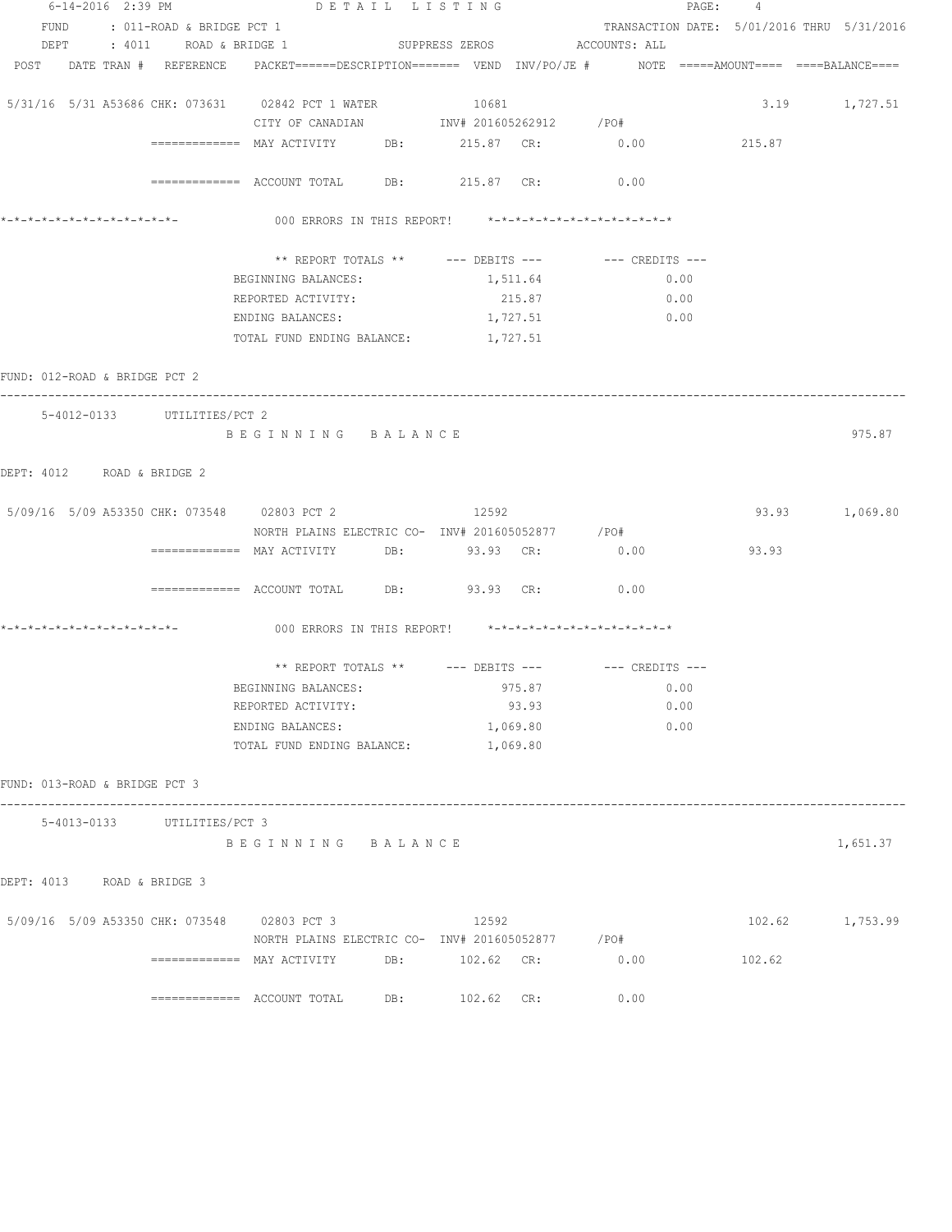| 6-14-2016 2:39 PM               | DETAIL LISTING                                                                                                  |                |          |                                                      | PAGE: 4 |                 |
|---------------------------------|-----------------------------------------------------------------------------------------------------------------|----------------|----------|------------------------------------------------------|---------|-----------------|
| FUND : 011-ROAD & BRIDGE PCT 1  |                                                                                                                 |                |          | TRANSACTION DATE: 5/01/2016 THRU 5/31/2016           |         |                 |
| DEPT : 4011 ROAD & BRIDGE 1     |                                                                                                                 |                |          | SUPPRESS ZEROS ACCOUNTS: ALL                         |         |                 |
|                                 | POST DATE TRAN # REFERENCE PACKET======DESCRIPTION======= VEND INV/PO/JE # NOTE =====AMOUNT==== ====BALANCE==== |                |          |                                                      |         |                 |
|                                 | 5/31/16  5/31  A53686  CHK:  073631   02842  PCT   1   WATER                                                    | 10681          |          |                                                      |         | 3.19 1,727.51   |
|                                 | CITY OF CANADIAN 1NV# 201605262912 / PO#                                                                        |                |          |                                                      |         |                 |
|                                 | ============ MAY ACTIVITY DB: 215.87 CR: 0.00                                                                   |                |          |                                                      | 215.87  |                 |
|                                 | ============ ACCOUNT TOTAL DB: 215.87 CR: 0.00                                                                  |                |          |                                                      |         |                 |
| *_*_*_*_*_*_*_*_*_*_*_*_*_*_*_  | 000 ERRORS IN THIS REPORT! *-*-*-*-*-*-*-*-*-*-*-*-*-*-                                                         |                |          |                                                      |         |                 |
|                                 |                                                                                                                 |                |          | ** REPORT TOTALS ** --- DEBITS --- -- -- CREDITS --- |         |                 |
|                                 | BEGINNING BALANCES:                                                                                             |                | 1,511.64 | 0.00                                                 |         |                 |
|                                 | REPORTED ACTIVITY:                                                                                              |                | 215.87   | 0.00                                                 |         |                 |
|                                 | ENDING BALANCES:                                                                                                |                | 1,727.51 | 0.00                                                 |         |                 |
|                                 | TOTAL FUND ENDING BALANCE: 1,727.51                                                                             |                |          |                                                      |         |                 |
| FUND: 012-ROAD & BRIDGE PCT 2   |                                                                                                                 |                |          |                                                      |         |                 |
| 5-4012-0133 UTILITIES/PCT 2     |                                                                                                                 |                |          |                                                      |         |                 |
|                                 | BEGINNING BALANCE                                                                                               |                |          |                                                      |         | 975.87          |
| DEPT: 4012 ROAD & BRIDGE 2      |                                                                                                                 |                |          |                                                      |         |                 |
|                                 | 5/09/16 5/09 A53350 CHK: 073548 02803 PCT 2 12592                                                               |                |          |                                                      |         | 93.93 1,069.80  |
|                                 |                                                                                                                 |                |          |                                                      |         |                 |
|                                 | NORTH PLAINS ELECTRIC CO- INV# 201605052877 / PO#<br>------------- MAY ACTIVITY DB: 93.93 CR:                   |                |          | 0.00                                                 | 93.93   |                 |
|                                 |                                                                                                                 |                |          |                                                      |         |                 |
|                                 | ============ ACCOUNT TOTAL DB: 93.93 CR: 0.00                                                                   |                |          |                                                      |         |                 |
|                                 | 000 ERRORS IN THIS REPORT! *-*-*-*-*-*-*-*-*-*-*-*-*-*-                                                         |                |          |                                                      |         |                 |
|                                 |                                                                                                                 |                |          | ** REPORT TOTALS ** --- DEBITS --- -- -- CREDITS --- |         |                 |
|                                 | BEGINNING BALANCES: 975.87                                                                                      |                |          | 0.00                                                 |         |                 |
|                                 | REPORTED ACTIVITY:                                                                                              |                | 93.93    | 0.00                                                 |         |                 |
|                                 | ENDING BALANCES:                                                                                                |                | 1,069.80 | 0.00                                                 |         |                 |
|                                 | TOTAL FUND ENDING BALANCE:                                                                                      |                | 1,069.80 |                                                      |         |                 |
| FUND: 013-ROAD & BRIDGE PCT 3   |                                                                                                                 |                |          |                                                      |         |                 |
| 5-4013-0133 UTILITIES/PCT 3     |                                                                                                                 |                |          |                                                      |         |                 |
|                                 | BEGINNING BALANCE                                                                                               |                |          |                                                      |         | 1,651.37        |
| DEPT: 4013<br>ROAD & BRIDGE 3   |                                                                                                                 |                |          |                                                      |         |                 |
| 5/09/16 5/09 A53350 CHK: 073548 | 02803 PCT 3                                                                                                     | 12592          |          |                                                      |         | 102.62 1,753.99 |
|                                 | NORTH PLAINS ELECTRIC CO- INV# 201605052877 / PO#                                                               |                |          |                                                      |         |                 |
|                                 | ============= MAY ACTIVITY                                                                                      | DB: 102.62 CR: |          | 0.00                                                 | 102.62  |                 |
|                                 | ============ ACCOUNT TOTAL DB: 102.62 CR:                                                                       |                |          | 0.00                                                 |         |                 |